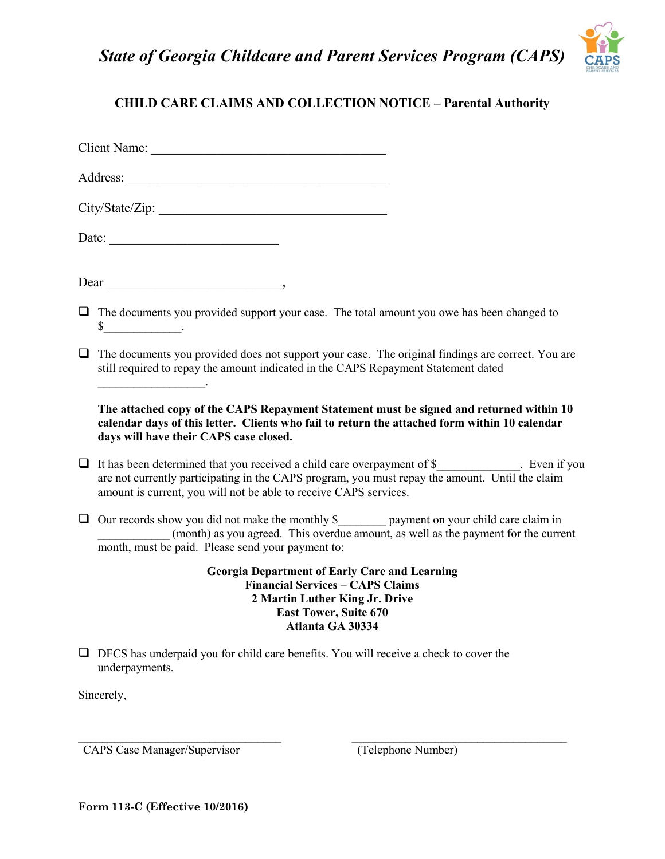*State of Georgia Childcare and Parent Services Program (CAPS)*



## **CHILD CARE CLAIMS AND COLLECTION NOTICE – Parental Authority**

Client Name: \_\_\_\_\_\_\_\_\_\_\_\_\_\_\_\_\_\_\_\_\_\_\_\_\_\_\_\_\_\_\_\_\_\_\_\_

| City/State/Zip: |
|-----------------|
|                 |
|                 |

Date:

 $\mathcal{L}_\text{max}$  and  $\mathcal{L}_\text{max}$  and  $\mathcal{L}_\text{max}$ 

Dear \_\_\_\_\_\_\_\_\_\_\_\_\_\_\_\_\_\_\_\_\_\_\_\_\_\_\_,

- $\Box$  The documents you provided support your case. The total amount you owe has been changed to  $\sim$
- $\Box$  The documents you provided does not support your case. The original findings are correct. You are still required to repay the amount indicated in the CAPS Repayment Statement dated

**The attached copy of the CAPS Repayment Statement must be signed and returned within 10 calendar days of this letter. Clients who fail to return the attached form within 10 calendar days will have their CAPS case closed.** 

- $\Box$  It has been determined that you received a child care overpayment of \$ . Even if you are not currently participating in the CAPS program, you must repay the amount. Until the claim amount is current, you will not be able to receive CAPS services.
- Our records show you did not make the monthly \$\_\_\_\_\_\_\_\_ payment on your child care claim in (month) as you agreed. This overdue amount, as well as the payment for the current month, must be paid. Please send your payment to:

**Georgia Department of Early Care and Learning Financial Services – CAPS Claims 2 Martin Luther King Jr. Drive East Tower, Suite 670 Atlanta GA 30334**

 $\_$ 

 $\Box$  DFCS has underpaid you for child care benefits. You will receive a check to cover the underpayments.

Sincerely,

CAPS Case Manager/Supervisor (Telephone Number)